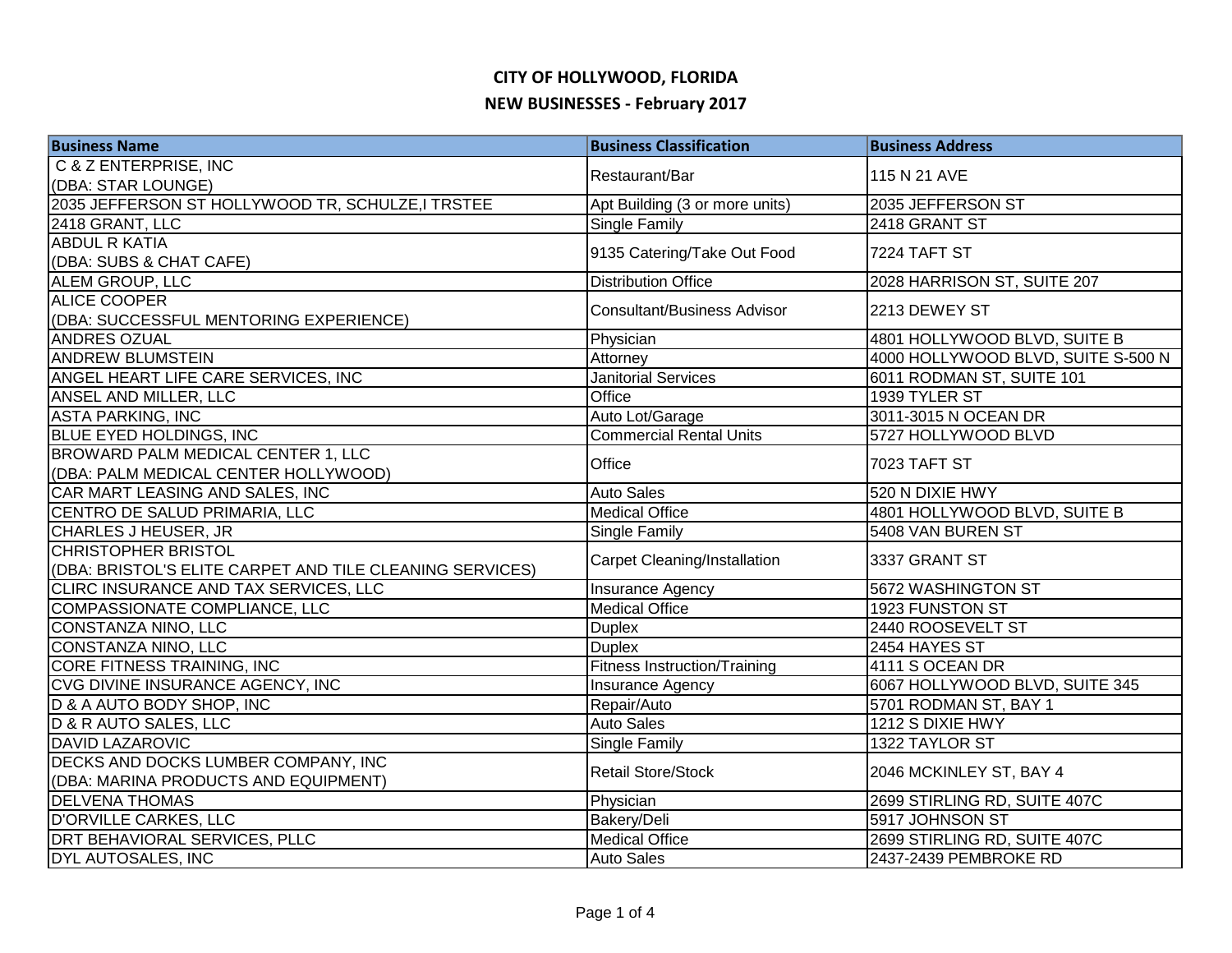| <b>Business Name</b>                                     | <b>Business Classification</b>      | <b>Business Address</b>            |
|----------------------------------------------------------|-------------------------------------|------------------------------------|
| C & Z ENTERPRISE, INC                                    | Restaurant/Bar                      | 115 N 21 AVE                       |
| (DBA: STAR LOUNGE)                                       |                                     |                                    |
| 2035 JEFFERSON ST HOLLYWOOD TR, SCHULZE, I TRSTEE        | Apt Building (3 or more units)      | 2035 JEFFERSON ST                  |
| 2418 GRANT, LLC                                          | Single Family                       | 2418 GRANT ST                      |
| <b>ABDUL R KATIA</b>                                     | 9135 Catering/Take Out Food         | 7224 TAFT ST                       |
| (DBA: SUBS & CHAT CAFE)                                  |                                     |                                    |
| ALEM GROUP, LLC                                          | <b>Distribution Office</b>          | 2028 HARRISON ST, SUITE 207        |
| <b>ALICE COOPER</b>                                      | <b>Consultant/Business Advisor</b>  | 2213 DEWEY ST                      |
| (DBA: SUCCESSFUL MENTORING EXPERIENCE)                   |                                     |                                    |
| <b>ANDRES OZUAL</b>                                      | Physician                           | 4801 HOLLYWOOD BLVD, SUITE B       |
| <b>ANDREW BLUMSTEIN</b>                                  | Attorney                            | 4000 HOLLYWOOD BLVD, SUITE S-500 N |
| ANGEL HEART LIFE CARE SERVICES, INC                      | <b>Janitorial Services</b>          | 6011 RODMAN ST, SUITE 101          |
| ANSEL AND MILLER, LLC                                    | Office                              | 1939 TYLER ST                      |
| <b>ASTA PARKING, INC</b>                                 | Auto Lot/Garage                     | 3011-3015 N OCEAN DR               |
| <b>BLUE EYED HOLDINGS, INC</b>                           | <b>Commercial Rental Units</b>      | 5727 HOLLYWOOD BLVD                |
| BROWARD PALM MEDICAL CENTER 1, LLC                       | Office                              |                                    |
| (DBA: PALM MEDICAL CENTER HOLLYWOOD)                     |                                     | <b>7023 TAFT ST</b>                |
| CAR MART LEASING AND SALES, INC                          | <b>Auto Sales</b>                   | 520 N DIXIE HWY                    |
| CENTRO DE SALUD PRIMARIA, LLC                            | <b>Medical Office</b>               | 4801 HOLLYWOOD BLVD, SUITE B       |
| CHARLES J HEUSER, JR                                     | <b>Single Family</b>                | 5408 VAN BUREN ST                  |
| CHRISTOPHER BRISTOL                                      |                                     | 3337 GRANT ST                      |
| (DBA: BRISTOL'S ELITE CARPET AND TILE CLEANING SERVICES) | <b>Carpet Cleaning/Installation</b> |                                    |
| CLIRC INSURANCE AND TAX SERVICES, LLC                    | <b>Insurance Agency</b>             | 5672 WASHINGTON ST                 |
| COMPASSIONATE COMPLIANCE, LLC                            | <b>Medical Office</b>               | 1923 FUNSTON ST                    |
| CONSTANZA NINO, LLC                                      | <b>Duplex</b>                       | 2440 ROOSEVELT ST                  |
| <b>CONSTANZA NINO, LLC</b>                               | <b>Duplex</b>                       | 2454 HAYES ST                      |
| <b>CORE FITNESS TRAINING, INC</b>                        | <b>Fitness Instruction/Training</b> | 4111 S OCEAN DR                    |
| CVG DIVINE INSURANCE AGENCY, INC                         | Insurance Agency                    | 6067 HOLLYWOOD BLVD, SUITE 345     |
| D & A AUTO BODY SHOP, INC                                | Repair/Auto                         | 5701 RODMAN ST, BAY 1              |
| D & R AUTO SALES, LLC                                    | <b>Auto Sales</b>                   | 1212 S DIXIE HWY                   |
| <b>DAVID LAZAROVIC</b>                                   | <b>Single Family</b>                | 1322 TAYLOR ST                     |
| DECKS AND DOCKS LUMBER COMPANY, INC                      | <b>Retail Store/Stock</b>           | 2046 MCKINLEY ST, BAY 4            |
| (DBA: MARINA PRODUCTS AND EQUIPMENT)                     |                                     |                                    |
| <b>DELVENA THOMAS</b>                                    | Physician                           | 2699 STIRLING RD, SUITE 407C       |
| D'ORVILLE CARKES, LLC                                    | Bakery/Deli                         | 5917 JOHNSON ST                    |
| DRT BEHAVIORAL SERVICES, PLLC                            | <b>Medical Office</b>               | 2699 STIRLING RD, SUITE 407C       |
| <b>DYL AUTOSALES, INC</b>                                | <b>Auto Sales</b>                   | 2437-2439 PEMBROKE RD              |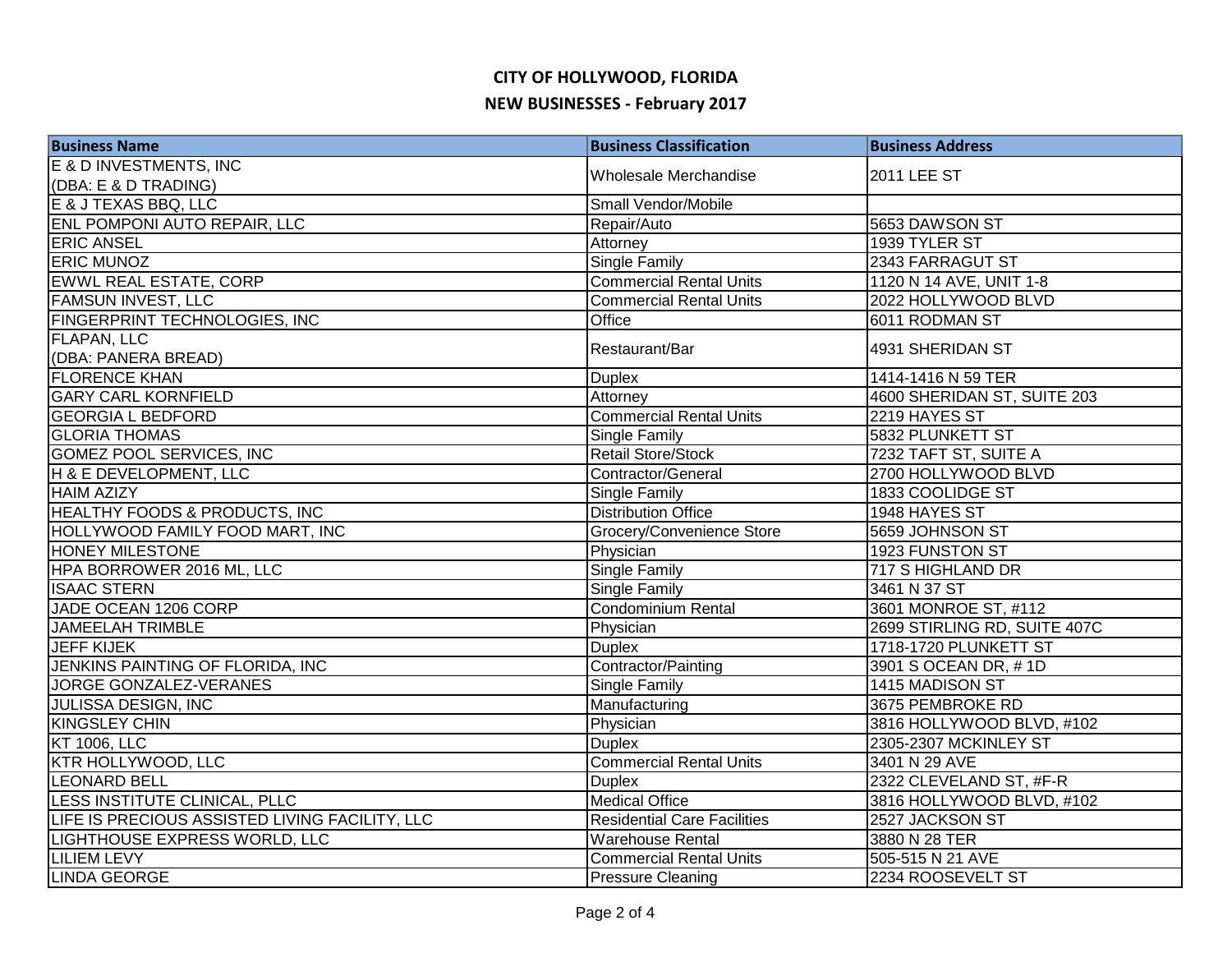| <b>Business Name</b>                           | <b>Business Classification</b>     | <b>Business Address</b>      |
|------------------------------------------------|------------------------------------|------------------------------|
| E & D INVESTMENTS, INC                         | Wholesale Merchandise              | 2011 LEE ST                  |
| (DBA: E & D TRADING)                           |                                    |                              |
| E & J TEXAS BBQ, LLC                           | Small Vendor/Mobile                |                              |
| ENL POMPONI AUTO REPAIR, LLC                   | Repair/Auto                        | 5653 DAWSON ST               |
| <b>ERIC ANSEL</b>                              | Attorney                           | 1939 TYLER ST                |
| <b>ERIC MUNOZ</b>                              | <b>Single Family</b>               | 2343 FARRAGUT ST             |
| EWWL REAL ESTATE, CORP                         | <b>Commercial Rental Units</b>     | 1120 N 14 AVE, UNIT 1-8      |
| <b>FAMSUN INVEST, LLC</b>                      | <b>Commercial Rental Units</b>     | 2022 HOLLYWOOD BLVD          |
| FINGERPRINT TECHNOLOGIES, INC                  | Office                             | 6011 RODMAN ST               |
| <b>FLAPAN, LLC</b>                             |                                    |                              |
| (DBA: PANERA BREAD)                            | Restaurant/Bar                     | 4931 SHERIDAN ST             |
| <b>FLORENCE KHAN</b>                           | <b>Duplex</b>                      | 1414-1416 N 59 TER           |
| <b>GARY CARL KORNFIELD</b>                     | Attorney                           | 4600 SHERIDAN ST, SUITE 203  |
| <b>GEORGIA L BEDFORD</b>                       | <b>Commercial Rental Units</b>     | 2219 HAYES ST                |
| <b>GLORIA THOMAS</b>                           | <b>Single Family</b>               | 5832 PLUNKETT ST             |
| <b>GOMEZ POOL SERVICES, INC</b>                | <b>Retail Store/Stock</b>          | 7232 TAFT ST, SUITE A        |
| H & E DEVELOPMENT, LLC                         | Contractor/General                 | 2700 HOLLYWOOD BLVD          |
| <b>HAIM AZIZY</b>                              | <b>Single Family</b>               | 1833 COOLIDGE ST             |
| <b>HEALTHY FOODS &amp; PRODUCTS, INC</b>       | <b>Distribution Office</b>         | 1948 HAYES ST                |
| HOLLYWOOD FAMILY FOOD MART, INC                | Grocery/Convenience Store          | 5659 JOHNSON ST              |
| <b>HONEY MILESTONE</b>                         | Physician                          | 1923 FUNSTON ST              |
| HPA BORROWER 2016 ML, LLC                      | <b>Single Family</b>               | 717 S HIGHLAND DR            |
| <b>ISAAC STERN</b>                             | Single Family                      | 3461 N 37 ST                 |
| JADE OCEAN 1206 CORP                           | <b>Condominium Rental</b>          | 3601 MONROE ST, #112         |
| <b>JAMEELAH TRIMBLE</b>                        | Physician                          | 2699 STIRLING RD, SUITE 407C |
| <b>JEFF KIJEK</b>                              | <b>Duplex</b>                      | 1718-1720 PLUNKETT ST        |
| JENKINS PAINTING OF FLORIDA, INC               | Contractor/Painting                | 3901 S OCEAN DR, #1D         |
| <b>JORGE GONZALEZ-VERANES</b>                  | <b>Single Family</b>               | 1415 MADISON ST              |
| JULISSA DESIGN, INC                            | Manufacturing                      | 3675 PEMBROKE RD             |
| <b>KINGSLEY CHIN</b>                           | Physician                          | 3816 HOLLYWOOD BLVD, #102    |
| <b>KT 1006, LLC</b>                            | <b>Duplex</b>                      | 2305-2307 MCKINLEY ST        |
| <b>KTR HOLLYWOOD, LLC</b>                      | <b>Commercial Rental Units</b>     | 3401 N 29 AVE                |
| <b>LEONARD BELL</b>                            | <b>Duplex</b>                      | 2322 CLEVELAND ST, #F-R      |
| LESS INSTITUTE CLINICAL, PLLC                  | <b>Medical Office</b>              | 3816 HOLLYWOOD BLVD, #102    |
| LIFE IS PRECIOUS ASSISTED LIVING FACILITY, LLC | <b>Residential Care Facilities</b> | 2527 JACKSON ST              |
| LIGHTHOUSE EXPRESS WORLD, LLC                  | <b>Warehouse Rental</b>            | 3880 N 28 TER                |
| <b>LILIEM LEVY</b>                             | <b>Commercial Rental Units</b>     | 505-515 N 21 AVE             |
| <b>LINDA GEORGE</b>                            | <b>Pressure Cleaning</b>           | 2234 ROOSEVELT ST            |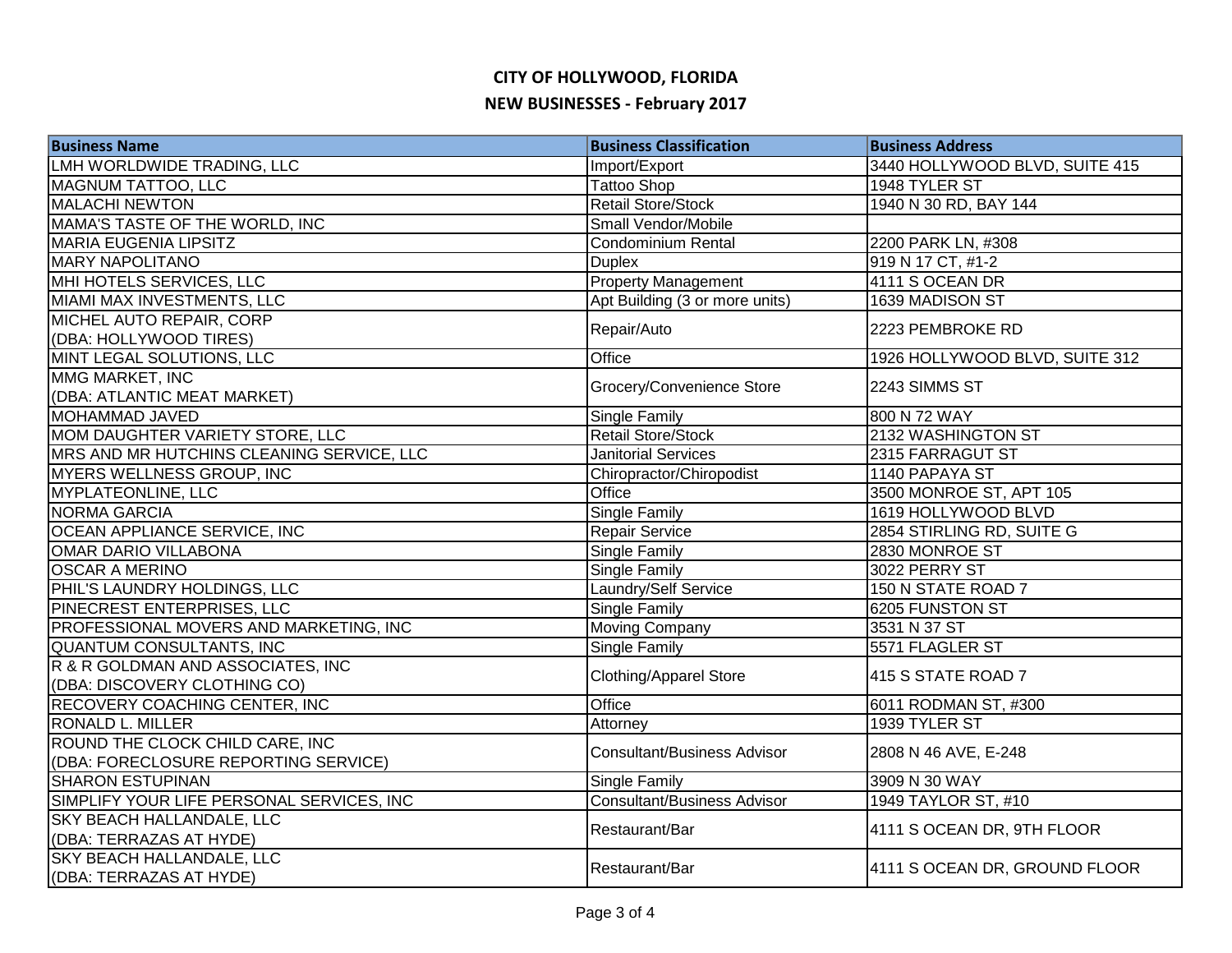| <b>Business Name</b>                      | <b>Business Classification</b>     | <b>Business Address</b>        |
|-------------------------------------------|------------------------------------|--------------------------------|
| LMH WORLDWIDE TRADING, LLC                | Import/Export                      | 3440 HOLLYWOOD BLVD, SUITE 415 |
| <b>MAGNUM TATTOO, LLC</b>                 | <b>Tattoo Shop</b>                 | 1948 TYLER ST                  |
| <b>MALACHI NEWTON</b>                     | <b>Retail Store/Stock</b>          | 1940 N 30 RD, BAY 144          |
| MAMA'S TASTE OF THE WORLD, INC            | Small Vendor/Mobile                |                                |
| <b>MARIA EUGENIA LIPSITZ</b>              | <b>Condominium Rental</b>          | 2200 PARK LN, #308             |
| <b>MARY NAPOLITANO</b>                    | <b>Duplex</b>                      | 919 N 17 CT, #1-2              |
| MHI HOTELS SERVICES, LLC                  | <b>Property Management</b>         | 4111 S OCEAN DR                |
| MIAMI MAX INVESTMENTS, LLC                | Apt Building (3 or more units)     | 1639 MADISON ST                |
| MICHEL AUTO REPAIR, CORP                  |                                    | 2223 PEMBROKE RD               |
| (DBA: HOLLYWOOD TIRES)                    | Repair/Auto                        |                                |
| MINT LEGAL SOLUTIONS, LLC                 | Office                             | 1926 HOLLYWOOD BLVD, SUITE 312 |
| MMG MARKET, INC                           |                                    | 2243 SIMMS ST                  |
| (DBA: ATLANTIC MEAT MARKET)               | Grocery/Convenience Store          |                                |
| MOHAMMAD JAVED                            | Single Family                      | 800 N 72 WAY                   |
| MOM DAUGHTER VARIETY STORE, LLC           | <b>Retail Store/Stock</b>          | 2132 WASHINGTON ST             |
| MRS AND MR HUTCHINS CLEANING SERVICE, LLC | <b>Janitorial Services</b>         | 2315 FARRAGUT ST               |
| MYERS WELLNESS GROUP, INC                 | Chiropractor/Chiropodist           | 1140 PAPAYA ST                 |
| <b>MYPLATEONLINE, LLC</b>                 | Office                             | 3500 MONROE ST, APT 105        |
| <b>NORMA GARCIA</b>                       | <b>Single Family</b>               | 1619 HOLLYWOOD BLVD            |
| OCEAN APPLIANCE SERVICE, INC              | Repair Service                     | 2854 STIRLING RD, SUITE G      |
| OMAR DARIO VILLABONA                      | Single Family                      | 2830 MONROE ST                 |
| <b>OSCAR A MERINO</b>                     | Single Family                      | 3022 PERRY ST                  |
| PHIL'S LAUNDRY HOLDINGS, LLC              | Laundry/Self Service               | 150 N STATE ROAD 7             |
| PINECREST ENTERPRISES, LLC                | <b>Single Family</b>               | 6205 FUNSTON ST                |
| PROFESSIONAL MOVERS AND MARKETING, INC    | <b>Moving Company</b>              | 3531 N 37 ST                   |
| <b>QUANTUM CONSULTANTS, INC</b>           | <b>Single Family</b>               | 5571 FLAGLER ST                |
| R & R GOLDMAN AND ASSOCIATES, INC         |                                    | 415 S STATE ROAD 7             |
| (DBA: DISCOVERY CLOTHING CO)              | <b>Clothing/Apparel Store</b>      |                                |
| <b>RECOVERY COACHING CENTER, INC</b>      | Office                             | 6011 RODMAN ST, #300           |
| <b>RONALD L. MILLER</b>                   | Attorney                           | 1939 TYLER ST                  |
| ROUND THE CLOCK CHILD CARE, INC           | <b>Consultant/Business Advisor</b> | 2808 N 46 AVE, E-248           |
| (DBA: FORECLOSURE REPORTING SERVICE)      |                                    |                                |
| <b>SHARON ESTUPINAN</b>                   | Single Family                      | 3909 N 30 WAY                  |
| SIMPLIFY YOUR LIFE PERSONAL SERVICES, INC | <b>Consultant/Business Advisor</b> | 1949 TAYLOR ST, #10            |
| <b>SKY BEACH HALLANDALE, LLC</b>          | Restaurant/Bar                     | 4111 S OCEAN DR, 9TH FLOOR     |
| (DBA: TERRAZAS AT HYDE)                   |                                    |                                |
| <b>SKY BEACH HALLANDALE, LLC</b>          | Restaurant/Bar                     | 4111 S OCEAN DR, GROUND FLOOR  |
| (DBA: TERRAZAS AT HYDE)                   |                                    |                                |